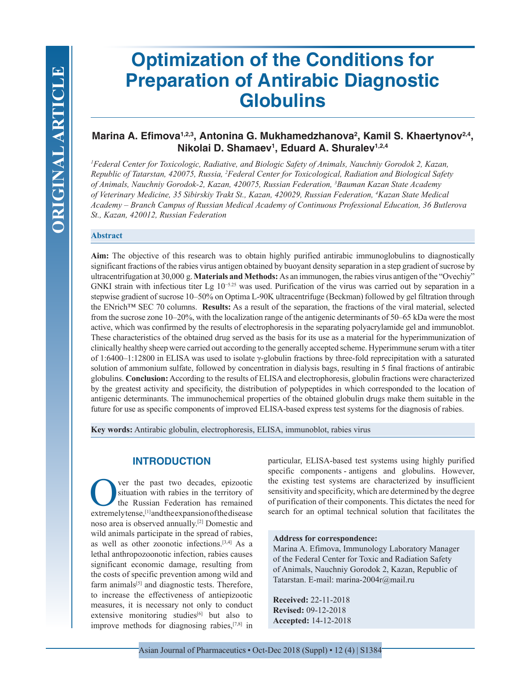# **Optimization of the Conditions for Preparation of Antirabic Diagnostic Globulins**

## Marina A. Efimova<sup>1,2,3</sup>, Antonina G. Mukhamedzhanova<sup>2</sup>, Kamil S. Khaertynov<sup>2,4</sup>, **Nikolai D. Shamaev1 , Eduard A. Shuralev1,2,4**

*1 Federal Center for Toxicologic, Radiative, and Biologic Safety of Animals, Nauchniy Gorodok 2, Kazan, Republic of Tatarstan, 420075, Russia, 2 Federal Center for Toxicological, Radiation and Biological Safety of Animals, Nauchniy Gorodok-2, Kazan, 420075, Russian Federation, 3 Bauman Kazan State Academy of Veterinary Medicine, 35 Sibirskiy Trakt St., Kazan, 420029, Russian Federation, 4 Kazan State Medical Academy – Branch Campus of Russian Medical Academy of Continuous Professional Education, 36 Butlerova St., Kazan, 420012, Russian Federation*

#### **Abstract**

**Aim:** The objective of this research was to obtain highly purified antirabic immunoglobulins to diagnostically significant fractions of the rabies virus antigen obtained by buoyant density separation in a step gradient of sucrose by ultracentrifugation at 30,000 g. **Materials and Methods:** As an immunogen, the rabies virus antigen of the "Ovechiy" GNKI strain with infectious titer Lg  $10^{-5.25}$  was used. Purification of the virus was carried out by separation in a stepwise gradient of sucrose 10–50% on Optima L-90K ultracentrifuge (Beckman) followed by gel filtration through the ENrich™ SEC 70 columns. **Results:** As a result of the separation, the fractions of the viral material, selected from the sucrose zone 10–20%, with the localization range of the antigenic determinants of 50–65 kDa were the most active, which was confirmed by the results of electrophoresis in the separating polyacrylamide gel and immunoblot. These characteristics of the obtained drug served as the basis for its use as a material for the hyperimmunization of clinically healthy sheep were carried out according to the generally accepted scheme. Hyperimmune serum with a titer of 1:6400–1:12800 in ELISA was used to isolate γ-globulin fractions by three-fold reprecipitation with a saturated solution of ammonium sulfate, followed by concentration in dialysis bags, resulting in 5 final fractions of antirabic globulins. **Conclusion:** According to the results of ELISA and electrophoresis, globulin fractions were characterized by the greatest activity and specificity, the distribution of polypeptides in which corresponded to the location of antigenic determinants. The immunochemical properties of the obtained globulin drugs make them suitable in the future for use as specific components of improved ELISA-based express test systems for the diagnosis of rabies.

**Key words:** Antirabic globulin, electrophoresis, ELISA, immunoblot, rabies virus

## **INTRODUCTION**

**OVERTUGE 1988 EVEN THE VEHICLE SET AND SET AND SET ALL STATES CONTROLLED AND SET AND SET AND SET AND SET AND SET AND SET AND SET AND SET AND SET AND SET AND SET AND SET AND SET AND SET AND SET AND SET AND SET AND SET AND** situation with rabies in the territory of the Russian Federation has remained extremely tense,[1] and the expansion of the disease noso area is observed annually.[2] Domestic and wild animals participate in the spread of rabies, as well as other zoonotic infections.[3,4] As a lethal anthropozoonotic infection, rabies causes significant economic damage, resulting from the costs of specific prevention among wild and farm animals<sup>[5]</sup> and diagnostic tests. Therefore, to increase the effectiveness of antiepizootic measures, it is necessary not only to conduct extensive monitoring studies $[6]$  but also to improve methods for diagnosing rabies,[7,8] in

particular, ELISA-based test systems using highly purified specific components - antigens and globulins. However, the existing test systems are characterized by insufficient sensitivity and specificity, which are determined by the degree of purification of their components. This dictates the need for search for an optimal technical solution that facilitates the

#### **Address for correspondence:**

Marina A. Efimova, Immunology Laboratory Manager of the Federal Center for Toxic and Radiation Safety of Animals, Nauchniy Gorodok 2, Kazan, Republic of Tatarstan. E-mail: marina-2004r@mail.ru

**Received:** 22-11-2018 **Revised:** 09-12-2018 **Accepted:** 14-12-2018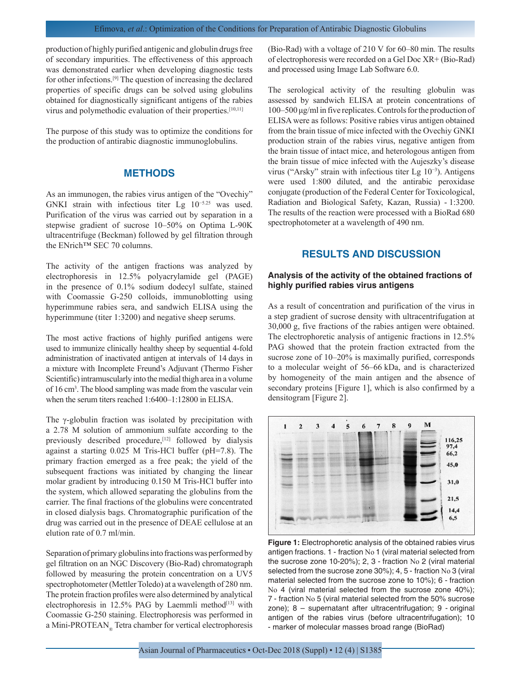production of highly purified antigenic and globulin drugs free of secondary impurities. The effectiveness of this approach was demonstrated earlier when developing diagnostic tests for other infections.[9] The question of increasing the declared properties of specific drugs can be solved using globulins obtained for diagnostically significant antigens of the rabies virus and polymethodic evaluation of their properties.[10,11]

The purpose of this study was to optimize the conditions for the production of antirabic diagnostic immunoglobulins.

## **METHODS**

As an immunogen, the rabies virus antigen of the "Ovechiy" GNKI strain with infectious titer Lg 10−5.25 was used. Purification of the virus was carried out by separation in a stepwise gradient of sucrose 10–50% on Optima L-90K ultracentrifuge (Beckman) followed by gel filtration through the ENrich™ SEC 70 columns.

The activity of the antigen fractions was analyzed by electrophoresis in 12.5% polyacrylamide gel (PAGE) in the presence of 0.1% sodium dodecyl sulfate, stained with Coomassie G-250 colloids, immunoblotting using hyperimmune rabies sera, and sandwich ELISA using the hyperimmune (titer 1:3200) and negative sheep serums.

The most active fractions of highly purified antigens were used to immunize clinically healthy sheep by sequential 4-fold administration of inactivated antigen at intervals of 14 days in a mixture with Incomplete Freund's Adjuvant (Thermo Fisher Scientific) intramuscularly into the medial thigh area in a volume of 16 cm<sup>3</sup> . The blood sampling was made from the vascular vein when the serum titers reached 1:6400–1:12800 in ELISA.

The γ-globulin fraction was isolated by precipitation with a 2.78 M solution of ammonium sulfate according to the previously described procedure, <a>[12]</a> followed by dialysis against a starting 0.025 M Tris-HCl buffer (pH=7.8). The primary fraction emerged as a free peak; the yield of the subsequent fractions was initiated by changing the linear molar gradient by introducing 0.150 M Tris-HCl buffer into the system, which allowed separating the globulins from the carrier. The final fractions of the globulins were concentrated in closed dialysis bags. Chromatographic purification of the drug was carried out in the presence of DEAE cellulose at an elution rate of 0.7 ml/min.

Separation of primary globulins into fractions was performed by gel filtration on an NGC Discovery (Bio-Rad) chromatograph followed by measuring the protein concentration on a UV5 spectrophotometer (Mettler Toledo) at a wavelength of 280 nm. The protein fraction profiles were also determined by analytical electrophoresis in  $12.5\%$  PAG by Laemmli method<sup>[13]</sup> with Coomassie G-250 staining. Electrophoresis was performed in a Mini-PROTEAN® Tetra chamber for vertical electrophoresis

(Bio-Rad) with a voltage of 210 V for 60–80 min. The results of electrophoresis were recorded on a Gel Doc XR+ (Bio-Rad) and processed using Image Lab Software 6.0.

The serological activity of the resulting globulin was assessed by sandwich ELISA at protein concentrations of 100–500 μg/ml in five replicates. Controls for the production of ELISA were as follows: Positive rabies virus antigen obtained from the brain tissue of mice infected with the Ovechiy GNKI production strain of the rabies virus, negative antigen from the brain tissue of intact mice, and heterologous antigen from the brain tissue of mice infected with the Aujeszky's disease virus ("Arsky" strain with infectious titer Lg 10−3). Antigens were used 1:800 diluted, and the antirabic peroxidase conjugate (production of the Federal Center for Toxicological, Radiation and Biological Safety, Kazan, Russia) - 1:3200. The results of the reaction were processed with a BioRad 680 spectrophotometer at a wavelength of 490 nm.

## **RESULTS AND DISCUSSION**

## **Analysis of the activity of the obtained fractions of highly purified rabies virus antigens**

As a result of concentration and purification of the virus in a step gradient of sucrose density with ultracentrifugation at 30,000 g, five fractions of the rabies antigen were obtained. The electrophoretic analysis of antigenic fractions in 12.5% PAG showed that the protein fraction extracted from the sucrose zone of 10–20% is maximally purified, corresponds to a molecular weight of 56–66 kDa, and is characterized by homogeneity of the main antigen and the absence of secondary proteins [Figure 1], which is also confirmed by a densitogram [Figure 2].



**Figure 1:** Electrophoretic analysis of the obtained rabies virus antigen fractions. 1 - fraction No 1 (viral material selected from the sucrose zone 10-20%); 2, 3 - fraction No 2 (viral material selected from the sucrose zone 30%); 4, 5 - fraction No 3 (viral material selected from the sucrose zone to 10%); 6 - fraction No 4 (viral material selected from the sucrose zone 40%); 7 - fraction No 5 (viral material selected from the 50% sucrose zone); 8 – supernatant after ultracentrifugation; 9 - original antigen of the rabies virus (before ultracentrifugation); 10 - marker of molecular masses broad range (BioRad)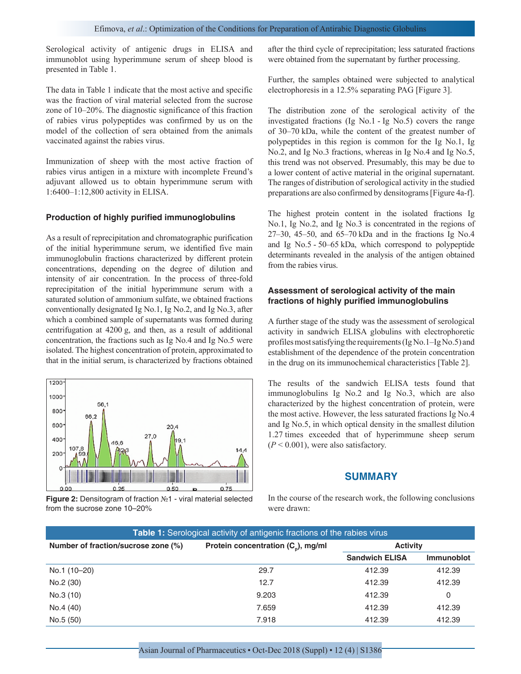Serological activity of antigenic drugs in ELISA and immunoblot using hyperimmune serum of sheep blood is presented in Table 1.

The data in Table 1 indicate that the most active and specific was the fraction of viral material selected from the sucrose zone of 10–20%. The diagnostic significance of this fraction of rabies virus polypeptides was confirmed by us on the model of the collection of sera obtained from the animals vaccinated against the rabies virus.

Immunization of sheep with the most active fraction of rabies virus antigen in a mixture with incomplete Freund's adjuvant allowed us to obtain hyperimmune serum with 1:6400–1:12,800 activity in ELISA.

#### **Production of highly purified immunoglobulins**

As a result of reprecipitation and chromatographic purification of the initial hyperimmune serum, we identified five main immunoglobulin fractions characterized by different protein concentrations, depending on the degree of dilution and intensity of air concentration. In the process of three-fold reprecipitation of the initial hyperimmune serum with a saturated solution of ammonium sulfate, we obtained fractions conventionally designated Ig No.1, Ig No.2, and Ig No.3, after which a combined sample of supernatants was formed during centrifugation at 4200 g, and then, as a result of additional concentration, the fractions such as Ig No.4 and Ig No.5 were isolated. The highest concentration of protein, approximated to that in the initial serum, is characterized by fractions obtained



**Figure 2:** Densitogram of fraction №1 - viral material selected from the sucrose zone 10–20%

after the third cycle of reprecipitation; less saturated fractions were obtained from the supernatant by further processing.

Further, the samples obtained were subjected to analytical electrophoresis in a 12.5% separating PAG [Figure 3].

The distribution zone of the serological activity of the investigated fractions (Ig No.1 - Ig No.5) covers the range of 30–70 kDa, while the content of the greatest number of polypeptides in this region is common for the Ig No.1, Ig No.2, and Ig No.3 fractions, whereas in Ig No.4 and Ig No.5, this trend was not observed. Presumably, this may be due to a lower content of active material in the original supernatant. The ranges of distribution of serological activity in the studied preparations are also confirmed by densitograms [Figure 4a-f].

The highest protein content in the isolated fractions Ig No.1, Ig No.2, and Ig No.3 is concentrated in the regions of 27–30, 45–50, and 65–70 kDa and in the fractions Ig No.4 and Ig No.5 - 50–65 kDa, which correspond to polypeptide determinants revealed in the analysis of the antigen obtained from the rabies virus.

### **Assessment of serological activity of the main fractions of highly purified immunoglobulins**

A further stage of the study was the assessment of serological activity in sandwich ELISA globulins with electrophoretic profiles most satisfying the requirements (Ig No.1–Ig No.5) and establishment of the dependence of the protein concentration in the drug on its immunochemical characteristics [Table 2].

The results of the sandwich ELISA tests found that immunoglobulins Ig No.2 and Ig No.3, which are also characterized by the highest concentration of protein, were the most active. However, the less saturated fractions Ig No.4 and Ig No.5, in which optical density in the smallest dilution 1.27 times exceeded that of hyperimmune sheep serum  $(P < 0.001)$ , were also satisfactory.

#### **SUMMARY**

In the course of the research work, the following conclusions were drawn:

| <b>Table 1:</b> Serological activity of antigenic fractions of the rabies virus |                                                |                       |                   |  |  |  |
|---------------------------------------------------------------------------------|------------------------------------------------|-----------------------|-------------------|--|--|--|
| Number of fraction/sucrose zone (%)                                             | Protein concentration (C <sub>n</sub> ), mg/ml | <b>Activity</b>       |                   |  |  |  |
|                                                                                 |                                                | <b>Sandwich ELISA</b> | <b>Immunoblot</b> |  |  |  |
| No.1 (10-20)                                                                    | 29.7                                           | 412.39                | 412.39            |  |  |  |
| No.2 (30)                                                                       | 12.7                                           | 412.39                | 412.39            |  |  |  |
| No.3 (10)                                                                       | 9.203                                          | 412.39                | 0                 |  |  |  |
| No.4 (40)                                                                       | 7.659                                          | 412.39                | 412.39            |  |  |  |
| No.5 (50)                                                                       | 7.918                                          | 412.39                | 412.39            |  |  |  |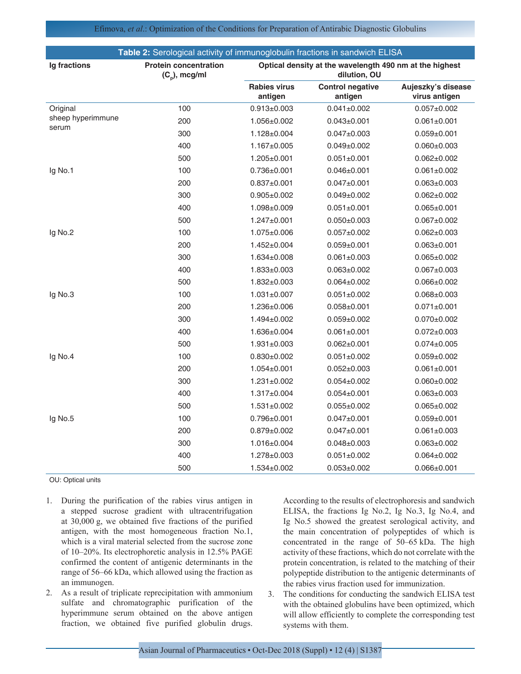Efimova, *et al*.: Optimization of the Conditions for Preparation of Antirabic Diagnostic Globulins

| Table 2: Serological activity of immunoglobulin fractions in sandwich ELISA |                                                  |                                                                         |                                    |                                     |  |
|-----------------------------------------------------------------------------|--------------------------------------------------|-------------------------------------------------------------------------|------------------------------------|-------------------------------------|--|
| Ig fractions                                                                | <b>Protein concentration</b><br>$(C_n)$ , mcg/ml | Optical density at the wavelength 490 nm at the highest<br>dilution, OU |                                    |                                     |  |
|                                                                             |                                                  | <b>Rabies virus</b><br>antigen                                          | <b>Control negative</b><br>antigen | Aujeszky's disease<br>virus antigen |  |
| Original<br>sheep hyperimmune<br>serum                                      | 100                                              | $0.913 \pm 0.003$                                                       | $0.041 \pm 0.002$                  | $0.057 \pm 0.002$                   |  |
|                                                                             | 200                                              | 1.056±0.002                                                             | $0.043 \pm 0.001$                  | $0.061 \pm 0.001$                   |  |
|                                                                             | 300                                              | 1.128±0.004                                                             | $0.047 + 0.003$                    | $0.059 \pm 0.001$                   |  |
|                                                                             | 400                                              | 1.167±0.005                                                             | $0.049 \pm 0.002$                  | $0.060 \pm 0.003$                   |  |
|                                                                             | 500                                              | 1.205±0.001                                                             | $0.051 \pm 0.001$                  | $0.062 \pm 0.002$                   |  |
| Ig No.1                                                                     | 100                                              | $0.736 \pm 0.001$                                                       | $0.046 \pm 0.001$                  | $0.061 \pm 0.002$                   |  |
|                                                                             | 200                                              | $0.837 \pm 0.001$                                                       | $0.047 \pm 0.001$                  | $0.063 \pm 0.003$                   |  |
|                                                                             | 300                                              | $0.905 \pm 0.002$                                                       | $0.049 \pm 0.002$                  | $0.062 \pm 0.002$                   |  |
|                                                                             | 400                                              | 1.098±0.009                                                             | $0.051 \pm 0.001$                  | $0.065 \pm 0.001$                   |  |
|                                                                             | 500                                              | $1.247 \pm 0.001$                                                       | $0.050 \pm 0.003$                  | $0.067 \pm 0.002$                   |  |
| Ig No.2                                                                     | 100                                              | 1.075±0.006                                                             | $0.057 + 0.002$                    | $0.062 \pm 0.003$                   |  |
|                                                                             | 200                                              | 1.452±0.004                                                             | $0.059 + 0.001$                    | $0.063 \pm 0.001$                   |  |
|                                                                             | 300                                              | 1.634±0.008                                                             | $0.061 \pm 0.003$                  | $0.065 \pm 0.002$                   |  |
|                                                                             | 400                                              | 1.833±0.003                                                             | $0.063 \pm 0.002$                  | $0.067 \pm 0.003$                   |  |
|                                                                             | 500                                              | 1.832±0.003                                                             | $0.064 \pm 0.002$                  | $0.066 \pm 0.002$                   |  |
| Ig No.3                                                                     | 100                                              | $1.031 \pm 0.007$                                                       | $0.051 \pm 0.002$                  | $0.068 \pm 0.003$                   |  |
|                                                                             | 200                                              | 1.236±0.006                                                             | $0.058 + 0.001$                    | $0.071 \pm 0.001$                   |  |
|                                                                             | 300                                              | 1.494±0.002                                                             | $0.059 + 0.002$                    | $0.070 \pm 0.002$                   |  |
|                                                                             | 400                                              | 1.636±0.004                                                             | $0.061 \pm 0.001$                  | $0.072 \pm 0.003$                   |  |
|                                                                             | 500                                              | $1.931 \pm 0.003$                                                       | $0.062 \pm 0.001$                  | $0.074 \pm 0.005$                   |  |
| Ig No.4                                                                     | 100                                              | $0.830+0.002$                                                           | $0.051 \pm 0.002$                  | $0.059 \pm 0.002$                   |  |
|                                                                             | 200                                              | $1.054 \pm 0.001$                                                       | $0.052 \pm 0.003$                  | $0.061 \pm 0.001$                   |  |
|                                                                             | 300                                              | 1.231±0.002                                                             | $0.054 \pm 0.002$                  | $0.060 \pm 0.002$                   |  |
|                                                                             | 400                                              | 1.317±0.004                                                             | $0.054 \pm 0.001$                  | $0.063 \pm 0.003$                   |  |
|                                                                             | 500                                              | $1.531 \pm 0.002$                                                       | $0.055 \pm 0.002$                  | $0.065 \pm 0.002$                   |  |
| Ig No.5                                                                     | 100                                              | $0.796 \pm 0.001$                                                       | $0.047 \pm 0.001$                  | $0.059 + 0.001$                     |  |
|                                                                             | 200                                              | $0.879 \pm 0.002$                                                       | $0.047 \pm 0.001$                  | $0.061 \pm 0.003$                   |  |
|                                                                             | 300                                              | 1.016±0.004                                                             | $0.048 + 0.003$                    | $0.063 \pm 0.002$                   |  |
|                                                                             | 400                                              | 1.278±0.003                                                             | $0.051 \pm 0.002$                  | $0.064 \pm 0.002$                   |  |
|                                                                             | 500                                              | 1.534±0.002                                                             | $0.053 \pm 0.002$                  | $0.066 \pm 0.001$                   |  |

OU: Optical units

- 1. During the purification of the rabies virus antigen in a stepped sucrose gradient with ultracentrifugation at 30,000 g, we obtained five fractions of the purified antigen, with the most homogeneous fraction No.1, which is a viral material selected from the sucrose zone of 10–20%. Its electrophoretic analysis in 12.5% PAGE confirmed the content of antigenic determinants in the range of 56–66 kDa, which allowed using the fraction as an immunogen.
- 2. As a result of triplicate reprecipitation with ammonium sulfate and chromatographic purification of the hyperimmune serum obtained on the above antigen fraction, we obtained five purified globulin drugs.

According to the results of electrophoresis and sandwich ELISA, the fractions Ig No.2, Ig No.3, Ig No.4, and Ig No.5 showed the greatest serological activity, and the main concentration of polypeptides of which is concentrated in the range of 50–65 kDa. The high activity of these fractions, which do not correlate with the protein concentration, is related to the matching of their polypeptide distribution to the antigenic determinants of the rabies virus fraction used for immunization.

3. The conditions for conducting the sandwich ELISA test with the obtained globulins have been optimized, which will allow efficiently to complete the corresponding test systems with them.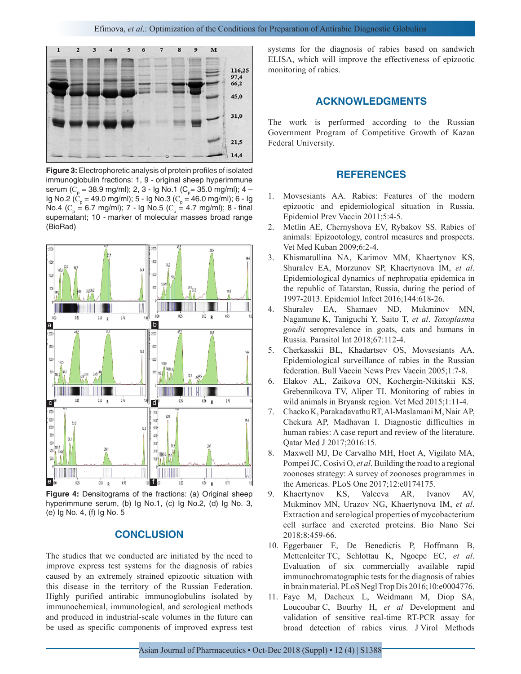

**Figure 3:** Electrophoretic analysis of protein profiles of isolated immunoglobulin fractions: 1, 9 - original sheep hyperimmune serum (C<sub>p</sub> = 38.9 mg/ml); 2, 3 - Ig No.1 (C<sub>p</sub>= 35.0 mg/ml); 4 – lg No.2 ( $C_p$  = 49.0 mg/ml); 5 - Ig No.3 ( $C_p$  = 46.0 mg/ml); 6 - Ig No.4 (C<sub>p</sub> = 6.7 mg/ml); 7 - Ig No.5 (C<sub>p</sub> = 4.7 mg/ml); 8 - final supernatant; 10 - marker of molecular masses broad range (BioRad)



**Figure 4:** Densitograms of the fractions: (a) Original sheep hyperimmune serum, (b) Ig No.1, (c) Ig No.2, (d) Ig No. 3, (e) Ig No. 4, (f) Ig No. 5

## **CONCLUSION**

The studies that we conducted are initiated by the need to improve express test systems for the diagnosis of rabies caused by an extremely strained epizootic situation with this disease in the territory of the Russian Federation. Highly purified antirabic immunoglobulins isolated by immunochemical, immunological, and serological methods and produced in industrial-scale volumes in the future can be used as specific components of improved express test

systems for the diagnosis of rabies based on sandwich ELISA, which will improve the effectiveness of epizootic monitoring of rabies.

#### **ACKNOWLEDGMENTS**

The work is performed according to the Russian Government Program of Competitive Growth of Kazan Federal University.

## **REFERENCES**

- 1. Movsesiants AA. Rabies: Features of the modern epizootic and epidemiological situation in Russia. Epidemiol Prev Vaccin 2011;5:4-5.
- 2. Metlin AE, Chernyshova EV, Rybakov SS. Rabies of animals: Epizootology, control measures and prospects. Vet Med Kuban 2009;6:2-4.
- 3. Khismatullina NA, Karimov MM, Khaertynov KS, Shuralev EA, Morzunov SP, Khaertynova IM, *et al*. Epidemiological dynamics of nephropatia epidemica in the republic of Tatarstan, Russia, during the period of 1997-2013. Epidemiol Infect 2016;144:618-26.
- 4. Shuralev EA, Shamaev ND, Mukminov MN, Nagamune K, Taniguchi Y, Saito T, *et al*. *Toxoplasma gondii* seroprevalence in goats, cats and humans in Russia. Parasitol Int 2018;67:112-4.
- 5. Cherkasskii BL, Khadartsev OS, Movsesiants AA. Epidemiological surveillance of rabies in the Russian federation. Bull Vaccin News Prev Vaccin 2005;1:7-8.
- 6. Elakov AL, Zaikova ON, Kochergin-Nikitskii KS, Grebennikova TV, Aliper TI. Monitoring of rabies in wild animals in Bryansk region. Vet Med 2015;1:11-4.
- 7. Chacko K, Parakadavathu RT, Al-Maslamani M, Nair AP, Chekura AP, Madhavan I. Diagnostic difficulties in human rabies: A case report and review of the literature. Qatar Med J 2017;2016:15.
- 8. Maxwell MJ, De Carvalho MH, Hoet A, Vigilato MA, Pompei JC, Cosivi O, *et al*. Building the road to a regional zoonoses strategy: A survey of zoonoses programmes in the Americas. PLoS One 2017;12:e0174175.
- 9. Khaertynov KS, Valeeva AR, Ivanov AV, Mukminov MN, Urazov NG, Khaertynova IM, *et al*. Extraction and serological properties of mycobacterium cell surface and excreted proteins. Bio Nano Sci 2018;8:459-66.
- 10. Eggerbauer E, De Benedictis P, Hoffmann B, Mettenleiter TC, Schlottau K, Ngoepe EC, *et al*. Evaluation of six commercially available rapid immunochromatographic tests for the diagnosis of rabies in brain material. PLoS Negl Trop Dis 2016;10:e0004776.
- 11. Faye M, Dacheux L, Weidmann M, Diop SA, Loucoubar C, Bourhy H, *et al* Development and validation of sensitive real-time RT-PCR assay for broad detection of rabies virus. J Virol Methods